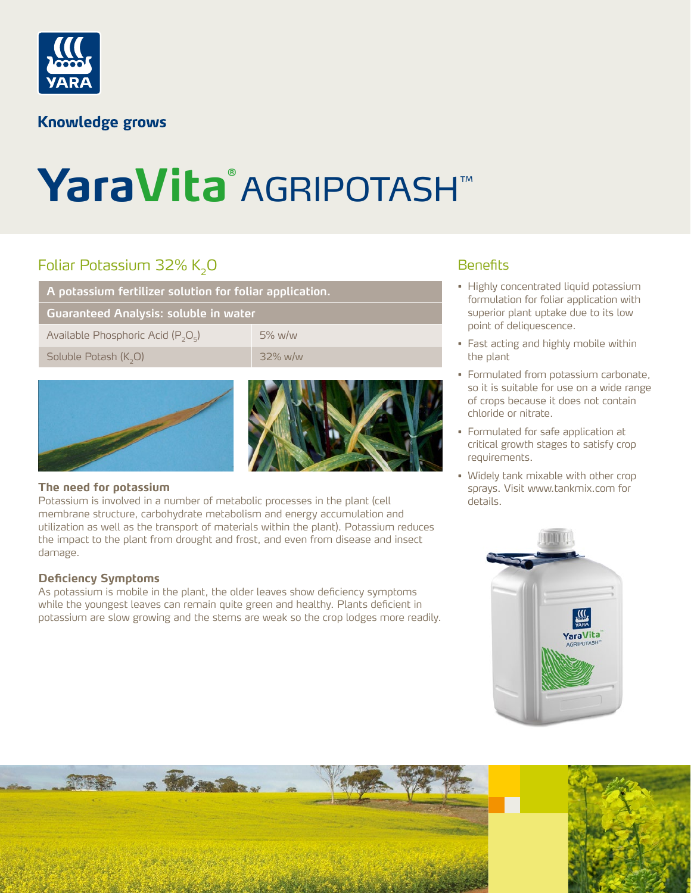

### **Knowledge grows**

# YaraVita® AGRIPOTASH™

# Foliar Potassium 32% K<sub>2</sub>0

**A potassium fertilizer solution for foliar application.**

**Guaranteed Analysis: soluble in water**

Available Phosphoric Acid  $(P_2O_5)$  5% w/w

Soluble Potash (K<sub>2</sub>O) 32% w/w





#### **The need for potassium**

Potassium is involved in a number of metabolic processes in the plant (cell membrane structure, carbohydrate metabolism and energy accumulation and utilization as well as the transport of materials within the plant). Potassium reduces the impact to the plant from drought and frost, and even from disease and insect damage.

#### **Deficiency Symptoms**

As potassium is mobile in the plant, the older leaves show deficiency symptoms while the youngest leaves can remain quite green and healthy. Plants deficient in potassium are slow growing and the stems are weak so the crop lodges more readily.

## **Benefits**

- Highly concentrated liquid potassium formulation for foliar application with superior plant uptake due to its low point of deliquescence.
- Fast acting and highly mobile within the plant
- Formulated from potassium carbonate, so it is suitable for use on a wide range of crops because it does not contain chloride or nitrate.
- Formulated for safe application at critical growth stages to satisfy crop requirements.
- Widely tank mixable with other crop sprays. Visit www.tankmix.com for details.